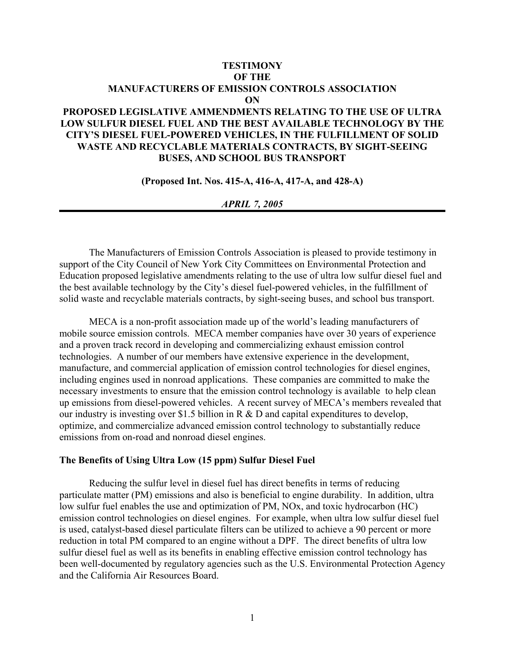## **TESTIMONY OF THE MANUFACTURERS OF EMISSION CONTROLS ASSOCIATION ON**

# **PROPOSED LEGISLATIVE AMMENDMENTS RELATING TO THE USE OF ULTRA LOW SULFUR DIESEL FUEL AND THE BEST AVAILABLE TECHNOLOGY BY THE CITY'S DIESEL FUEL-POWERED VEHICLES, IN THE FULFILLMENT OF SOLID WASTE AND RECYCLABLE MATERIALS CONTRACTS, BY SIGHT-SEEING BUSES, AND SCHOOL BUS TRANSPORT**

**(Proposed Int. Nos. 415-A, 416-A, 417-A, and 428-A)** 

#### *APRIL 7, 2005*

The Manufacturers of Emission Controls Association is pleased to provide testimony in support of the City Council of New York City Committees on Environmental Protection and Education proposed legislative amendments relating to the use of ultra low sulfur diesel fuel and the best available technology by the City's diesel fuel-powered vehicles, in the fulfillment of solid waste and recyclable materials contracts, by sight-seeing buses, and school bus transport.

MECA is a non-profit association made up of the world's leading manufacturers of mobile source emission controls. MECA member companies have over 30 years of experience and a proven track record in developing and commercializing exhaust emission control technologies. A number of our members have extensive experience in the development, manufacture, and commercial application of emission control technologies for diesel engines, including engines used in nonroad applications. These companies are committed to make the necessary investments to ensure that the emission control technology is available to help clean up emissions from diesel-powered vehicles. A recent survey of MECA's members revealed that our industry is investing over \$1.5 billion in R & D and capital expenditures to develop, optimize, and commercialize advanced emission control technology to substantially reduce emissions from on-road and nonroad diesel engines.

#### **The Benefits of Using Ultra Low (15 ppm) Sulfur Diesel Fuel**

Reducing the sulfur level in diesel fuel has direct benefits in terms of reducing particulate matter (PM) emissions and also is beneficial to engine durability. In addition, ultra low sulfur fuel enables the use and optimization of PM, NOx, and toxic hydrocarbon (HC) emission control technologies on diesel engines. For example, when ultra low sulfur diesel fuel is used, catalyst-based diesel particulate filters can be utilized to achieve a 90 percent or more reduction in total PM compared to an engine without a DPF. The direct benefits of ultra low sulfur diesel fuel as well as its benefits in enabling effective emission control technology has been well-documented by regulatory agencies such as the U.S. Environmental Protection Agency and the California Air Resources Board.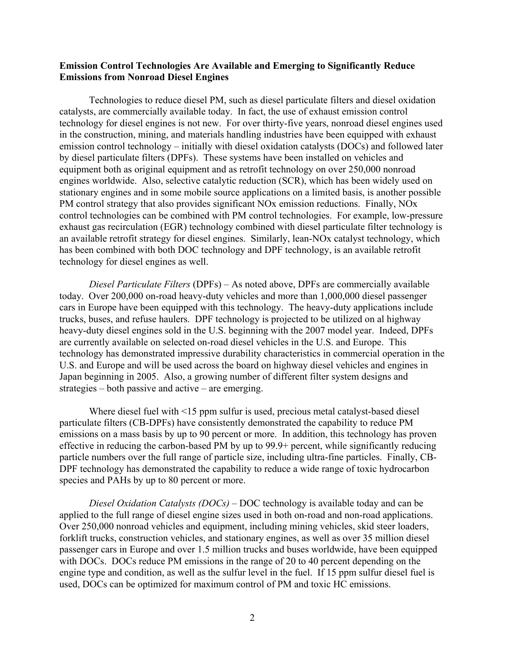### **Emission Control Technologies Are Available and Emerging to Significantly Reduce Emissions from Nonroad Diesel Engines**

Technologies to reduce diesel PM, such as diesel particulate filters and diesel oxidation catalysts, are commercially available today. In fact, the use of exhaust emission control technology for diesel engines is not new. For over thirty-five years, nonroad diesel engines used in the construction, mining, and materials handling industries have been equipped with exhaust emission control technology – initially with diesel oxidation catalysts (DOCs) and followed later by diesel particulate filters (DPFs). These systems have been installed on vehicles and equipment both as original equipment and as retrofit technology on over 250,000 nonroad engines worldwide. Also, selective catalytic reduction (SCR), which has been widely used on stationary engines and in some mobile source applications on a limited basis, is another possible PM control strategy that also provides significant NOx emission reductions. Finally, NOx control technologies can be combined with PM control technologies. For example, low-pressure exhaust gas recirculation (EGR) technology combined with diesel particulate filter technology is an available retrofit strategy for diesel engines. Similarly, lean-NOx catalyst technology, which has been combined with both DOC technology and DPF technology, is an available retrofit technology for diesel engines as well.

*Diesel Particulate Filters* (DPFs) – As noted above, DPFs are commercially available today. Over 200,000 on-road heavy-duty vehicles and more than 1,000,000 diesel passenger cars in Europe have been equipped with this technology. The heavy-duty applications include trucks, buses, and refuse haulers. DPF technology is projected to be utilized on al highway heavy-duty diesel engines sold in the U.S. beginning with the 2007 model year. Indeed, DPFs are currently available on selected on-road diesel vehicles in the U.S. and Europe. This technology has demonstrated impressive durability characteristics in commercial operation in the U.S. and Europe and will be used across the board on highway diesel vehicles and engines in Japan beginning in 2005. Also, a growing number of different filter system designs and strategies – both passive and active – are emerging.

Where diesel fuel with <15 ppm sulfur is used, precious metal catalyst-based diesel particulate filters (CB-DPFs) have consistently demonstrated the capability to reduce PM emissions on a mass basis by up to 90 percent or more. In addition, this technology has proven effective in reducing the carbon-based PM by up to 99.9+ percent, while significantly reducing particle numbers over the full range of particle size, including ultra-fine particles. Finally, CB-DPF technology has demonstrated the capability to reduce a wide range of toxic hydrocarbon species and PAHs by up to 80 percent or more.

*Diesel Oxidation Catalysts (DOCs)* – DOC technology is available today and can be applied to the full range of diesel engine sizes used in both on-road and non-road applications. Over 250,000 nonroad vehicles and equipment, including mining vehicles, skid steer loaders, forklift trucks, construction vehicles, and stationary engines, as well as over 35 million diesel passenger cars in Europe and over 1.5 million trucks and buses worldwide, have been equipped with DOCs. DOCs reduce PM emissions in the range of 20 to 40 percent depending on the engine type and condition, as well as the sulfur level in the fuel. If 15 ppm sulfur diesel fuel is used, DOCs can be optimized for maximum control of PM and toxic HC emissions.